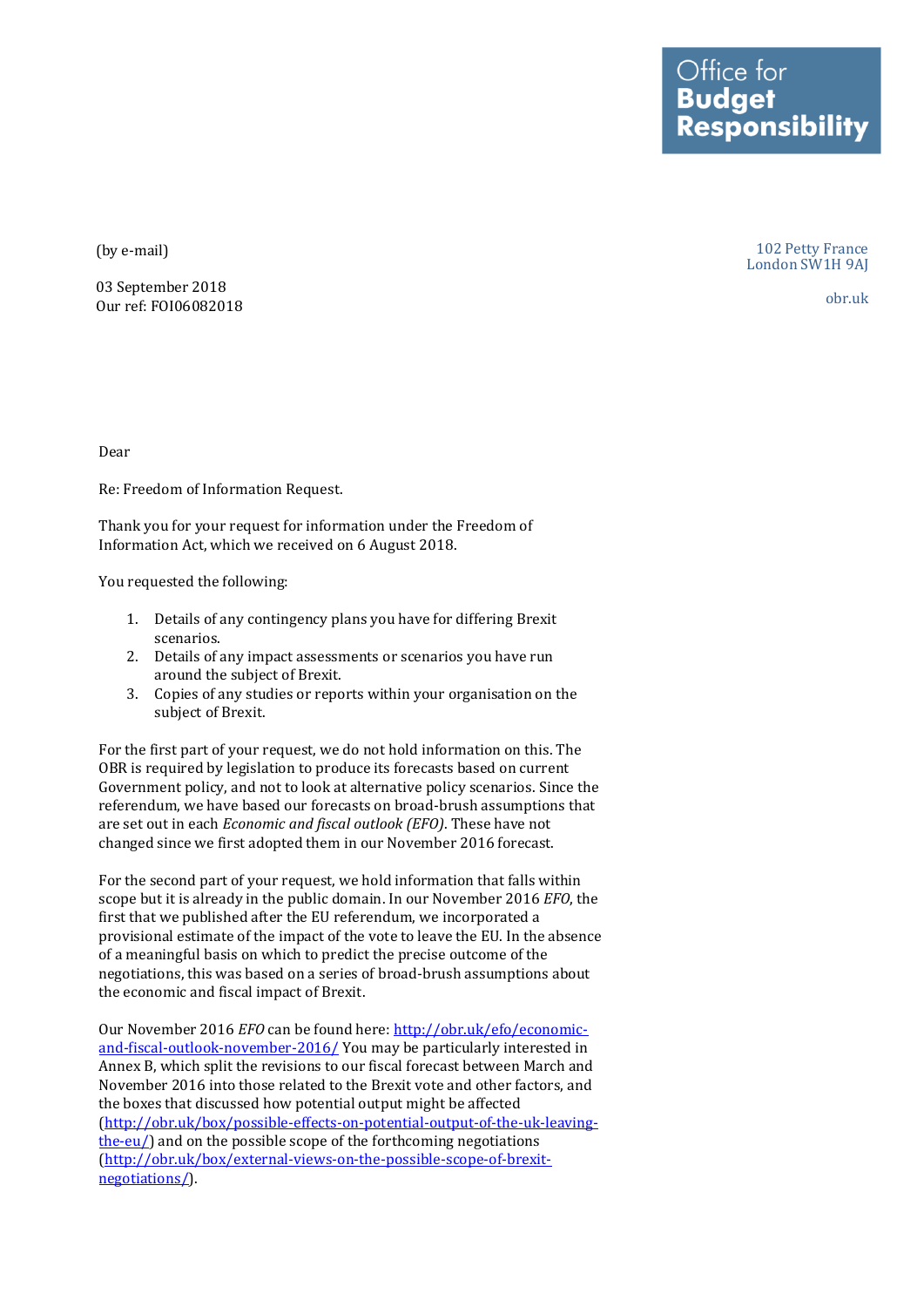Office for<br>**Budget** Responsibility

(by e-mail)

03 September 2018 Our ref: FOI06082018

102 Petty France London SW1H 9AJ

obr.uk

Dear

Re: Freedom of Information Request.

Thank you for your request for information under the Freedom of Information Act, which we received on 6 August 2018.

You requested the following:

- 1. Details of any contingency plans you have for differing Brexit scenarios.
- 2. Details of any impact assessments or scenarios you have run around the subject of Brexit.
- 3. Copies of any studies or reports within your organisation on the subject of Brexit.

For the first part of your request, we do not hold information on this. The OBR is required by legislation to produce its forecasts based on current Government policy, and not to look at alternative policy scenarios. Since the referendum, we have based our forecasts on broad-brush assumptions that are set out in each *Economic and fiscal outlook (EFO)*. These have not changed since we first adopted them in our November 2016 forecast.

For the second part of your request, we hold information that falls within scope but it is already in the public domain. In our November 2016 *EFO*, the first that we published after the EU referendum, we incorporated a provisional estimate of the impact of the vote to leave the EU. In the absence of a meaningful basis on which to predict the precise outcome of the negotiations, this was based on a series of broad-brush assumptions about the economic and fiscal impact of Brexit.

Our November 2016 *EFO* can be found here: [http://obr.uk/efo/economic](http://obr.uk/efo/economic-and-fiscal-outlook-november-2016/)[and-fiscal-outlook-november-2016/](http://obr.uk/efo/economic-and-fiscal-outlook-november-2016/) You may be particularly interested in Annex B, which split the revisions to our fiscal forecast between March and November 2016 into those related to the Brexit vote and other factors, and the boxes that discussed how potential output might be affected [\(http://obr.uk/box/possible-effects-on-potential-output-of-the-uk-leaving](http://obr.uk/box/possible-effects-on-potential-output-of-the-uk-leaving-the-eu/)[the-eu/\)](http://obr.uk/box/possible-effects-on-potential-output-of-the-uk-leaving-the-eu/) and on the possible scope of the forthcoming negotiations [\(http://obr.uk/box/external-views-on-the-possible-scope-of-brexit](http://obr.uk/box/external-views-on-the-possible-scope-of-brexit-negotiations/)[negotiations/\)](http://obr.uk/box/external-views-on-the-possible-scope-of-brexit-negotiations/).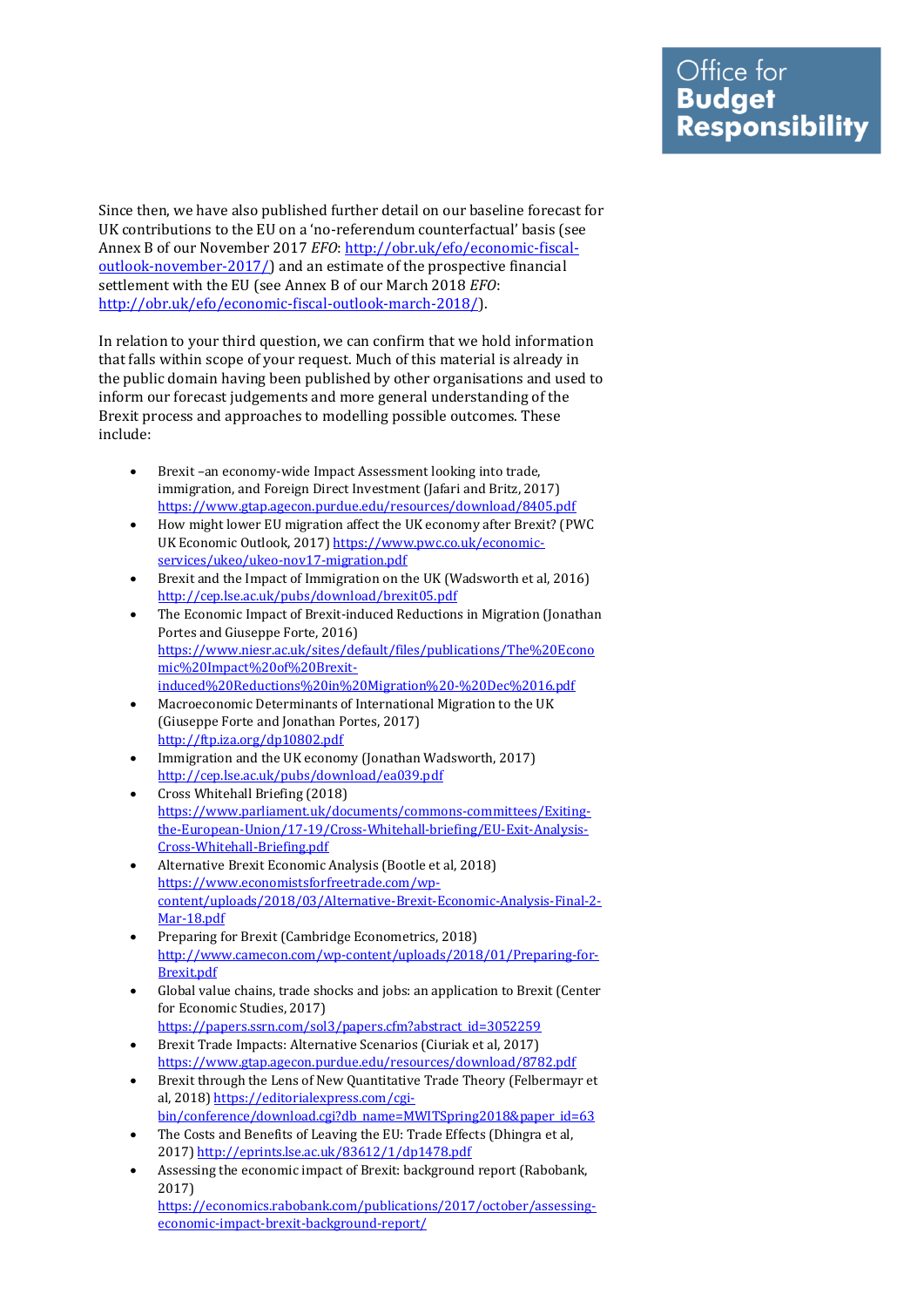Since then, we have also published further detail on our baseline forecast for UK contributions to the EU on a 'no-referendum counterfactual' basis (see Annex B of our November 2017 *EFO*[: http://obr.uk/efo/economic-fiscal](http://obr.uk/efo/economic-fiscal-outlook-november-2017/)[outlook-november-2017/\)](http://obr.uk/efo/economic-fiscal-outlook-november-2017/) and an estimate of the prospective financial settlement with the EU (see Annex B of our March 2018 *EFO*: [http://obr.uk/efo/economic-fiscal-outlook-march-2018/\)](http://obr.uk/efo/economic-fiscal-outlook-march-2018/).

In relation to your third question, we can confirm that we hold information that falls within scope of your request. Much of this material is already in the public domain having been published by other organisations and used to inform our forecast judgements and more general understanding of the Brexit process and approaches to modelling possible outcomes. These include:

- Brexit –an economy-wide Impact Assessment looking into trade, immigration, and Foreign Direct Investment (Jafari and Britz, 2017) <https://www.gtap.agecon.purdue.edu/resources/download/8405.pdf>
- How might lower EU migration affect the UK economy after Brexit? (PWC UK Economic Outlook, 2017) [https://www.pwc.co.uk/economic](https://www.pwc.co.uk/economic-services/ukeo/ukeo-nov17-migration.pdf)[services/ukeo/ukeo-nov17-migration.pdf](https://www.pwc.co.uk/economic-services/ukeo/ukeo-nov17-migration.pdf)
- Brexit and the Impact of Immigration on the UK (Wadsworth et al, 2016) <http://cep.lse.ac.uk/pubs/download/brexit05.pdf>
- The Economic Impact of Brexit-induced Reductions in Migration (Jonathan Portes and Giuseppe Forte, 2016) [https://www.niesr.ac.uk/sites/default/files/publications/The%20Econo](https://www.niesr.ac.uk/sites/default/files/publications/The%20Economic%20Impact%20of%20Brexit-induced%20Reductions%20in%20Migration%20-%20Dec%2016.pdf) [mic%20Impact%20of%20Brexit](https://www.niesr.ac.uk/sites/default/files/publications/The%20Economic%20Impact%20of%20Brexit-induced%20Reductions%20in%20Migration%20-%20Dec%2016.pdf)[induced%20Reductions%20in%20Migration%20-%20Dec%2016.pdf](https://www.niesr.ac.uk/sites/default/files/publications/The%20Economic%20Impact%20of%20Brexit-induced%20Reductions%20in%20Migration%20-%20Dec%2016.pdf)
- Macroeconomic Determinants of International Migration to the UK (Giuseppe Forte and Jonathan Portes, 2017) <http://ftp.iza.org/dp10802.pdf>
- Immigration and the UK economy (Jonathan Wadsworth, 2017) <http://cep.lse.ac.uk/pubs/download/ea039.pdf>
- Cross Whitehall Briefing (2018) [https://www.parliament.uk/documents/commons-committees/Exiting](https://www.parliament.uk/documents/commons-committees/Exiting-the-European-Union/17-19/Cross-Whitehall-briefing/EU-Exit-Analysis-Cross-Whitehall-Briefing.pdf)[the-European-Union/17-19/Cross-Whitehall-briefing/EU-Exit-Analysis-](https://www.parliament.uk/documents/commons-committees/Exiting-the-European-Union/17-19/Cross-Whitehall-briefing/EU-Exit-Analysis-Cross-Whitehall-Briefing.pdf)[Cross-Whitehall-Briefing.pdf](https://www.parliament.uk/documents/commons-committees/Exiting-the-European-Union/17-19/Cross-Whitehall-briefing/EU-Exit-Analysis-Cross-Whitehall-Briefing.pdf)
- Alternative Brexit Economic Analysis (Bootle et al, 2018) [https://www.economistsforfreetrade.com/wp](https://www.economistsforfreetrade.com/wp-content/uploads/2018/03/Alternative-Brexit-Economic-Analysis-Final-2-Mar-18.pdf)[content/uploads/2018/03/Alternative-Brexit-Economic-Analysis-Final-2-](https://www.economistsforfreetrade.com/wp-content/uploads/2018/03/Alternative-Brexit-Economic-Analysis-Final-2-Mar-18.pdf) [Mar-18.pdf](https://www.economistsforfreetrade.com/wp-content/uploads/2018/03/Alternative-Brexit-Economic-Analysis-Final-2-Mar-18.pdf)
- Preparing for Brexit (Cambridge Econometrics, 2018) [http://www.camecon.com/wp-content/uploads/2018/01/Preparing-for-](http://www.camecon.com/wp-content/uploads/2018/01/Preparing-for-Brexit.pdf)[Brexit.pdf](http://www.camecon.com/wp-content/uploads/2018/01/Preparing-for-Brexit.pdf)
- Global value chains, trade shocks and jobs: an application to Brexit (Center for Economic Studies, 2017)
- [https://papers.ssrn.com/sol3/papers.cfm?abstract\\_id=3052259](https://papers.ssrn.com/sol3/papers.cfm?abstract_id=3052259)
- Brexit Trade Impacts: Alternative Scenarios (Ciuriak et al, 2017) <https://www.gtap.agecon.purdue.edu/resources/download/8782.pdf>
- Brexit through the Lens of New Quantitative Trade Theory (Felbermayr et al, 2018[\) https://editorialexpress.com/cgi](https://editorialexpress.com/cgi-bin/conference/download.cgi?db_name=MWITSpring2018&paper_id=63)[bin/conference/download.cgi?db\\_name=MWITSpring2018&paper\\_id=63](https://editorialexpress.com/cgi-bin/conference/download.cgi?db_name=MWITSpring2018&paper_id=63)
- The Costs and Benefits of Leaving the EU: Trade Effects (Dhingra et al, 2017[\) http://eprints.lse.ac.uk/83612/1/dp1478.pdf](http://eprints.lse.ac.uk/83612/1/dp1478.pdf)
- Assessing the economic impact of Brexit: background report (Rabobank, 2017)

[https://economics.rabobank.com/publications/2017/october/assessing](https://economics.rabobank.com/publications/2017/october/assessing-economic-impact-brexit-background-report/)[economic-impact-brexit-background-report/](https://economics.rabobank.com/publications/2017/october/assessing-economic-impact-brexit-background-report/)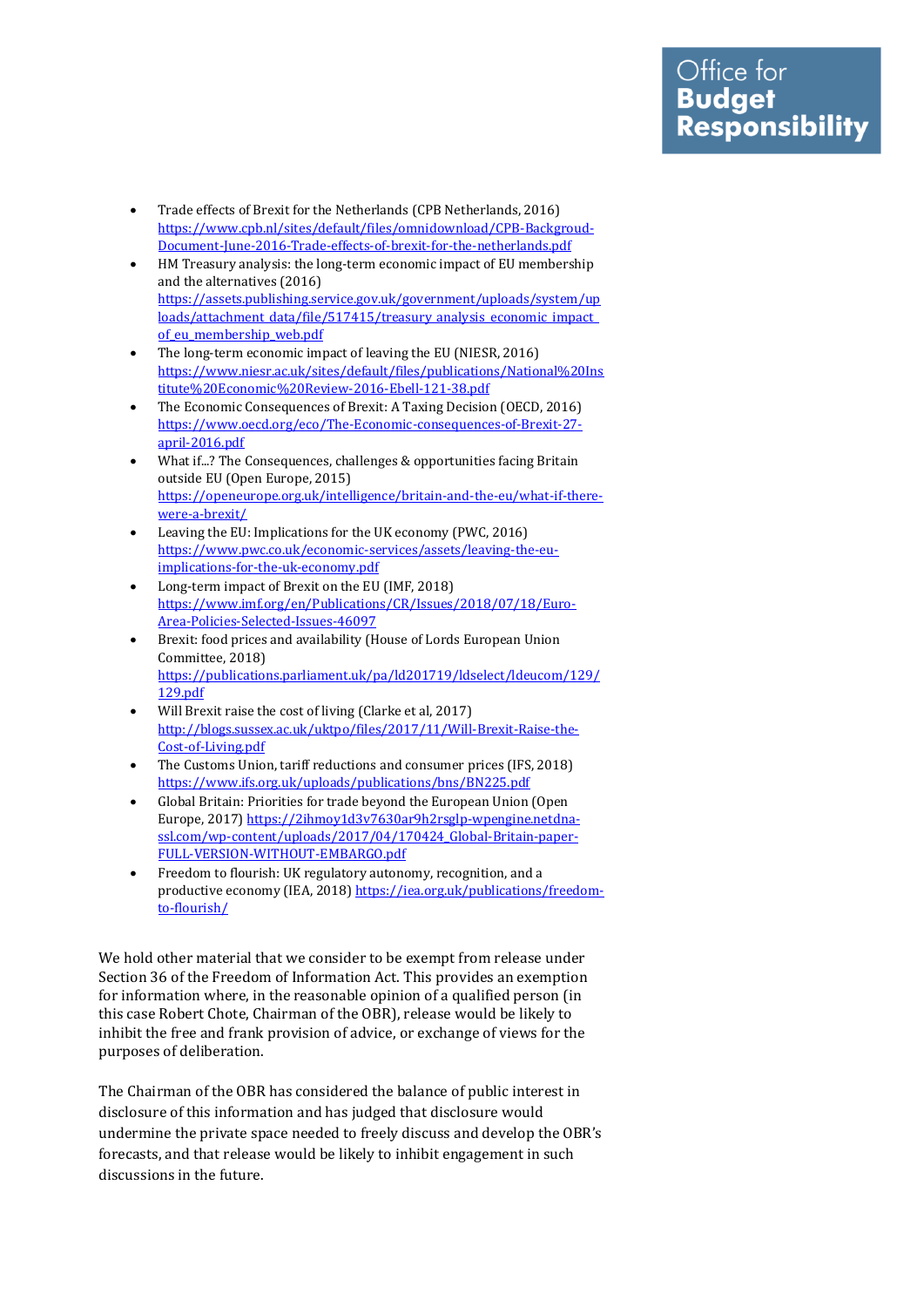- Trade effects of Brexit for the Netherlands (CPB Netherlands, 2016) [https://www.cpb.nl/sites/default/files/omnidownload/CPB-Backgroud-](https://www.cpb.nl/sites/default/files/omnidownload/CPB-Backgroud-Document-June-2016-Trade-effects-of-brexit-for-the-netherlands.pdf)[Document-June-2016-Trade-effects-of-brexit-for-the-netherlands.pdf](https://www.cpb.nl/sites/default/files/omnidownload/CPB-Backgroud-Document-June-2016-Trade-effects-of-brexit-for-the-netherlands.pdf)
- HM Treasury analysis: the long-term economic impact of EU membership and the alternatives (2016) [https://assets.publishing.service.gov.uk/government/uploads/system/up](https://assets.publishing.service.gov.uk/government/uploads/system/uploads/attachment_data/file/517415/treasury_analysis_economic_impact_of_eu_membership_web.pdf) [loads/attachment\\_data/file/517415/treasury\\_analysis\\_economic\\_impact\\_](https://assets.publishing.service.gov.uk/government/uploads/system/uploads/attachment_data/file/517415/treasury_analysis_economic_impact_of_eu_membership_web.pdf) [of\\_eu\\_membership\\_web.pdf](https://assets.publishing.service.gov.uk/government/uploads/system/uploads/attachment_data/file/517415/treasury_analysis_economic_impact_of_eu_membership_web.pdf)
- The long-term economic impact of leaving the EU (NIESR, 2016) [https://www.niesr.ac.uk/sites/default/files/publications/National%20Ins](https://www.niesr.ac.uk/sites/default/files/publications/National%20Institute%20Economic%20Review-2016-Ebell-121-38.pdf) [titute%20Economic%20Review-2016-Ebell-121-38.pdf](https://www.niesr.ac.uk/sites/default/files/publications/National%20Institute%20Economic%20Review-2016-Ebell-121-38.pdf)
- The Economic Consequences of Brexit: A Taxing Decision (OECD, 2016) [https://www.oecd.org/eco/The-Economic-consequences-of-Brexit-27](https://www.oecd.org/eco/The-Economic-consequences-of-Brexit-27-april-2016.pdf) [april-2016.pdf](https://www.oecd.org/eco/The-Economic-consequences-of-Brexit-27-april-2016.pdf)
- What if...? The Consequences, challenges & opportunities facing Britain outside EU (Open Europe, 2015) [https://openeurope.org.uk/intelligence/britain-and-the-eu/what-if-there](https://openeurope.org.uk/intelligence/britain-and-the-eu/what-if-there-were-a-brexit/)[were-a-brexit/](https://openeurope.org.uk/intelligence/britain-and-the-eu/what-if-there-were-a-brexit/)
- Leaving the EU: Implications for the UK economy (PWC, 2016) [https://www.pwc.co.uk/economic-services/assets/leaving-the-eu](https://www.pwc.co.uk/economic-services/assets/leaving-the-eu-implications-for-the-uk-economy.pdf)[implications-for-the-uk-economy.pdf](https://www.pwc.co.uk/economic-services/assets/leaving-the-eu-implications-for-the-uk-economy.pdf)
- Long-term impact of Brexit on the EU (IMF, 2018) [https://www.imf.org/en/Publications/CR/Issues/2018/07/18/Euro-](https://www.imf.org/en/Publications/CR/Issues/2018/07/18/Euro-Area-Policies-Selected-Issues-46097)[Area-Policies-Selected-Issues-46097](https://www.imf.org/en/Publications/CR/Issues/2018/07/18/Euro-Area-Policies-Selected-Issues-46097)
- Brexit: food prices and availability (House of Lords European Union Committee, 2018) [https://publications.parliament.uk/pa/ld201719/ldselect/ldeucom/129/](https://publications.parliament.uk/pa/ld201719/ldselect/ldeucom/129/129.pdf) [129.pdf](https://publications.parliament.uk/pa/ld201719/ldselect/ldeucom/129/129.pdf)
- Will Brexit raise the cost of living (Clarke et al, 2017) [http://blogs.sussex.ac.uk/uktpo/files/2017/11/Will-Brexit-Raise-the-](http://blogs.sussex.ac.uk/uktpo/files/2017/11/Will-Brexit-Raise-the-Cost-of-Living.pdf)[Cost-of-Living.pdf](http://blogs.sussex.ac.uk/uktpo/files/2017/11/Will-Brexit-Raise-the-Cost-of-Living.pdf)
- The Customs Union, tariff reductions and consumer prices (IFS, 2018) <https://www.ifs.org.uk/uploads/publications/bns/BN225.pdf>
- Global Britain: Priorities for trade beyond the European Union (Open Europe, 2017[\) https://2ihmoy1d3v7630ar9h2rsglp-wpengine.netdna](https://2ihmoy1d3v7630ar9h2rsglp-wpengine.netdna-ssl.com/wp-content/uploads/2017/04/170424_Global-Britain-paper-FULL-VERSION-WITHOUT-EMBARGO.pdf)[ssl.com/wp-content/uploads/2017/04/170424\\_Global-Britain-paper-](https://2ihmoy1d3v7630ar9h2rsglp-wpengine.netdna-ssl.com/wp-content/uploads/2017/04/170424_Global-Britain-paper-FULL-VERSION-WITHOUT-EMBARGO.pdf)[FULL-VERSION-WITHOUT-EMBARGO.pdf](https://2ihmoy1d3v7630ar9h2rsglp-wpengine.netdna-ssl.com/wp-content/uploads/2017/04/170424_Global-Britain-paper-FULL-VERSION-WITHOUT-EMBARGO.pdf)
- Freedom to flourish: UK regulatory autonomy, recognition, and a productive economy (IEA, 2018[\) https://iea.org.uk/publications/freedom](https://iea.org.uk/publications/freedom-to-flourish/)[to-flourish/](https://iea.org.uk/publications/freedom-to-flourish/)

We hold other material that we consider to be exempt from release under Section 36 of the Freedom of Information Act. This provides an exemption for information where, in the reasonable opinion of a qualified person (in this case Robert Chote, Chairman of the OBR), release would be likely to inhibit the free and frank provision of advice, or exchange of views for the purposes of deliberation.

The Chairman of the OBR has considered the balance of public interest in disclosure of this information and has judged that disclosure would undermine the private space needed to freely discuss and develop the OBR's forecasts, and that release would be likely to inhibit engagement in such discussions in the future.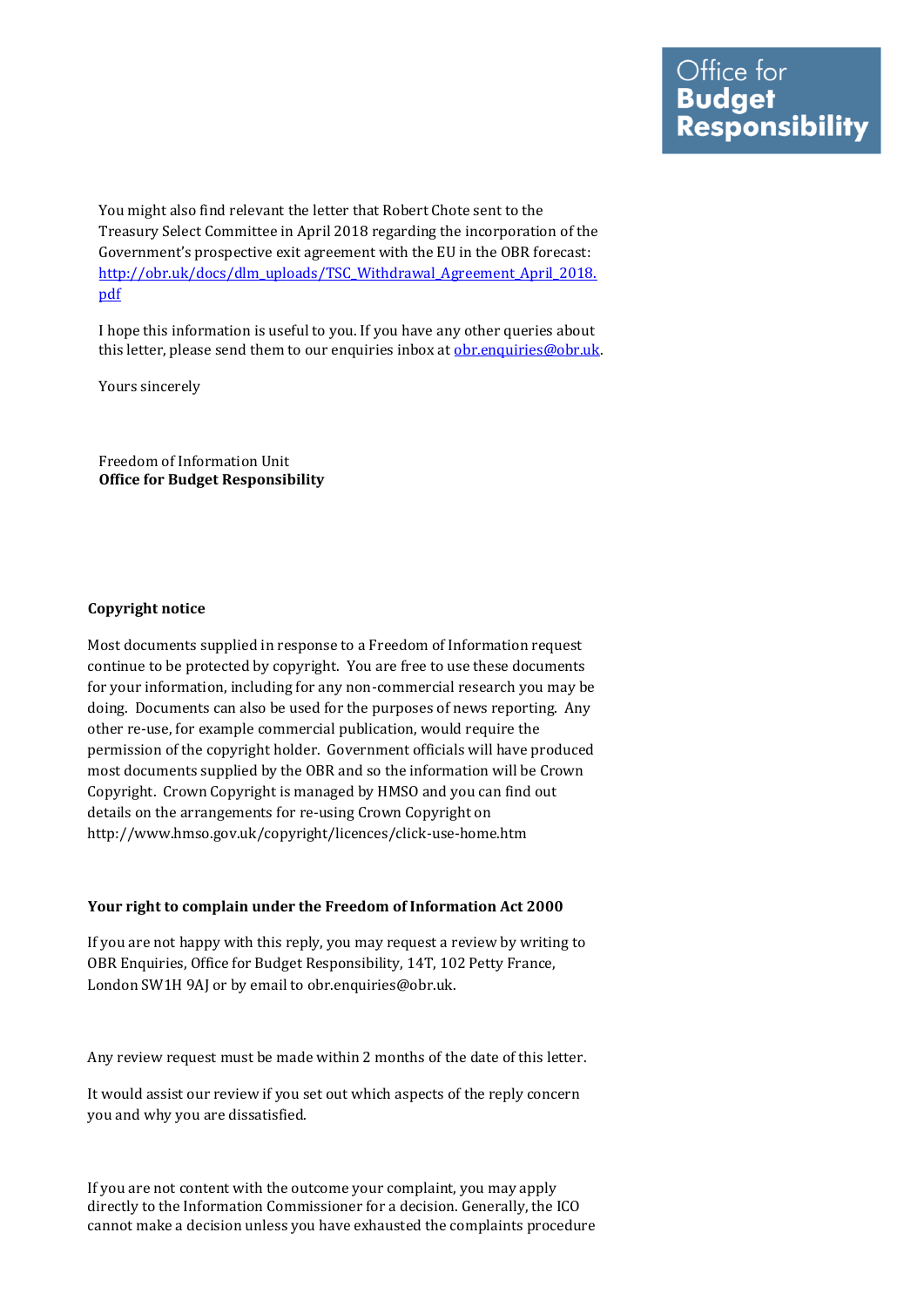You might also find relevant the letter that Robert Chote sent to the Treasury Select Committee in April 2018 regarding the incorporation of the Government's prospective exit agreement with the EU in the OBR forecast: [http://obr.uk/docs/dlm\\_uploads/TSC\\_Withdrawal\\_Agreement\\_April\\_2018.](http://obr.uk/docs/dlm_uploads/TSC_Withdrawal_Agreement_April_2018.pdf) [pdf](http://obr.uk/docs/dlm_uploads/TSC_Withdrawal_Agreement_April_2018.pdf)

I hope this information is useful to you. If you have any other queries about this letter, please send them to our enquiries inbox at [obr.enquiries@obr.uk.](mailto:obr.enquiries@obr.uk)

Yours sincerely

Freedom of Information Unit **Office for Budget Responsibility**

## **Copyright notice**

Most documents supplied in response to a Freedom of Information request continue to be protected by copyright. You are free to use these documents for your information, including for any non-commercial research you may be doing. Documents can also be used for the purposes of news reporting. Any other re-use, for example commercial publication, would require the permission of the copyright holder. Government officials will have produced most documents supplied by the OBR and so the information will be Crown Copyright. Crown Copyright is managed by HMSO and you can find out details on the arrangements for re-using Crown Copyright on http://www.hmso.gov.uk/copyright/licences/click-use-home.htm

## **Your right to complain under the Freedom of Information Act 2000**

If you are not happy with this reply, you may request a review by writing to OBR Enquiries, Office for Budget Responsibility, 14T, 102 Petty France, London SW1H 9AJ or by email to obr.enquiries@obr.uk.

Any review request must be made within 2 months of the date of this letter.

It would assist our review if you set out which aspects of the reply concern you and why you are dissatisfied.

If you are not content with the outcome your complaint, you may apply directly to the Information Commissioner for a decision. Generally, the ICO cannot make a decision unless you have exhausted the complaints procedure